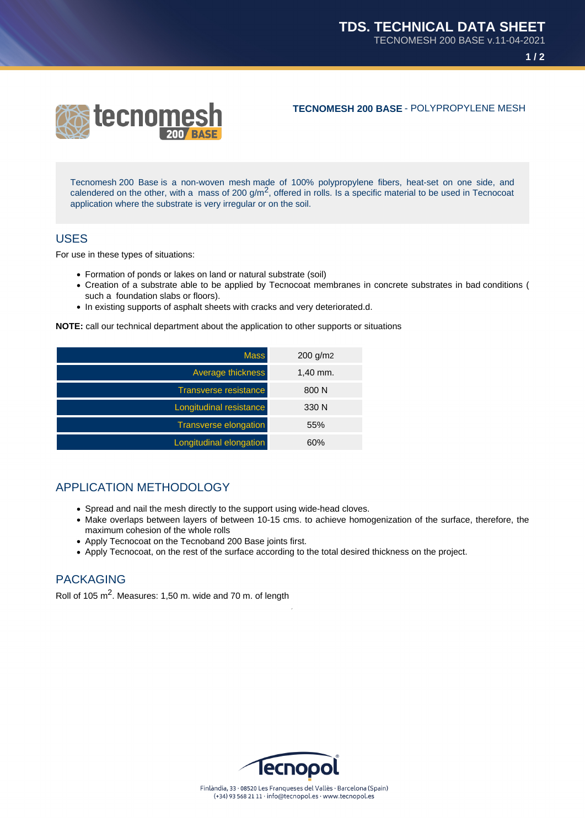

**TECNOMESH 200 BASE** - POLYPROPYLENE MESH

Tecnomesh 200 Base is a non-woven mesh made of 100% polypropylene fibers, heat-set on one side, and calendered on the other, with a mass of 200  $g/m^2$ , offered in rolls. Is a specific material to be used in Tecnocoat application where the substrate is very irregular or on the soil.

## USES

For use in these types of situations:

- Formation of ponds or lakes on land or natural substrate (soil)
- Creation of a substrate able to be applied by Tecnocoat membranes in concrete substrates in bad conditions ( such a foundation slabs or floors).
- In existing supports of asphalt sheets with cracks and very deteriorated.d.

**NOTE:** call our technical department about the application to other supports or situations

| <b>Mass</b>                  | $200$ g/m2 |
|------------------------------|------------|
| Average thickness            | $1,40$ mm. |
| <b>Transverse resistance</b> | 800 N      |
| Longitudinal resistance      | 330 N      |
| <b>Transverse elongation</b> | 55%        |
| Longitudinal elongation      | 60%        |

## APPLICATION METHODOLOGY

- Spread and nail the mesh directly to the support using wide-head cloves.
- Make overlaps between layers of between 10-15 cms. to achieve homogenization of the surface, therefore, the maximum cohesion of the whole rolls
- Apply Tecnocoat on the Tecnoband 200 Base joints first.
- Apply Tecnocoat, on the rest of the surface according to the total desired thickness on the project.

## PACKAGING

Roll of 105  $\text{m}^2$ . Measures: 1,50 m. wide and 70 m. of length